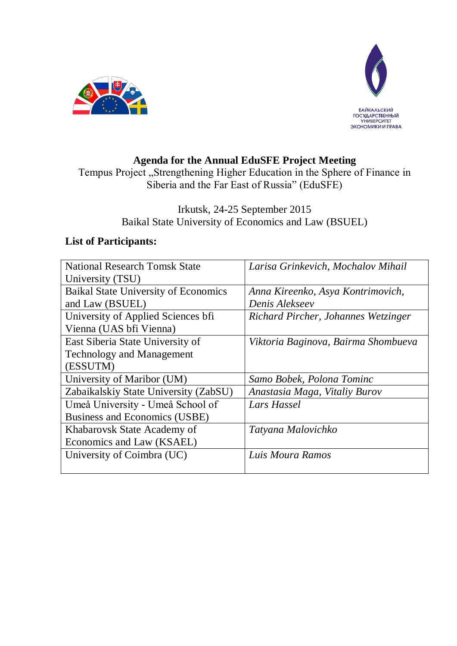



# **Agenda for the Annual EduSFE Project Meeting**

Tempus Project "Strengthening Higher Education in the Sphere of Finance in Siberia and the Far East of Russia" (EduSFE)

### Irkutsk, 24-25 September 2015 Baikal State University of Economics and Law (BSUEL)

# **List of Participants:**

| <b>National Research Tomsk State</b>        | Larisa Grinkevich, Mochalov Mihail  |
|---------------------------------------------|-------------------------------------|
| University (TSU)                            |                                     |
| <b>Baikal State University of Economics</b> | Anna Kireenko, Asya Kontrimovich,   |
| and Law (BSUEL)                             | Denis Alekseev                      |
| University of Applied Sciences bfi          | Richard Pircher, Johannes Wetzinger |
| Vienna (UAS bfi Vienna)                     |                                     |
| East Siberia State University of            | Viktoria Baginova, Bairma Shombueva |
| <b>Technology and Management</b>            |                                     |
| (ESSUTM)                                    |                                     |
| University of Maribor (UM)                  | Samo Bobek, Polona Tominc           |
| Zabaikalskiy State University (ZabSU)       | Anastasia Maga, Vitaliy Burov       |
| Umeå University - Umeå School of            | Lars Hassel                         |
| Business and Economics (USBE)               |                                     |
| Khabarovsk State Academy of                 | Tatyana Malovichko                  |
| Economics and Law (KSAEL)                   |                                     |
| University of Coimbra (UC)                  | Luis Moura Ramos                    |
|                                             |                                     |